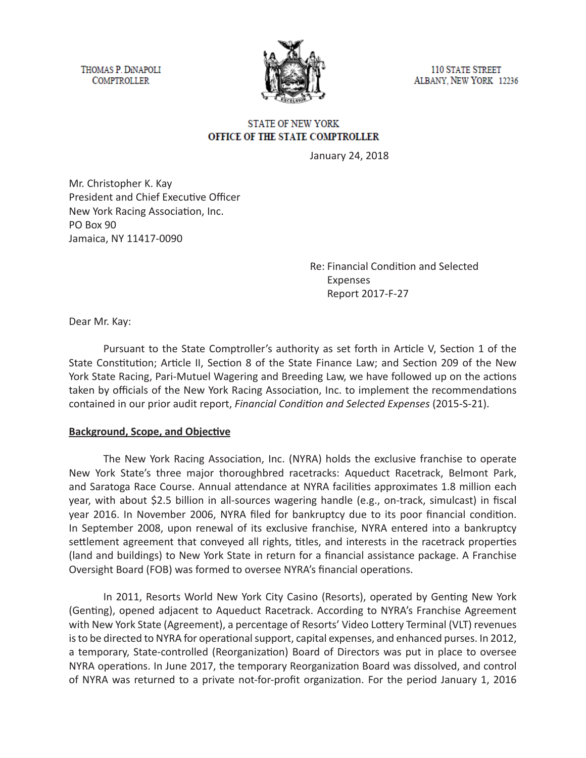THOMAS P. DINAPOLI **COMPTROLLER** 



**110 STATE STREET** ALBANY, NEW YORK 12236

## **STATE OF NEW YORK** OFFICE OF THE STATE COMPTROLLER

January 24, 2018

Mr. Christopher K. Kay President and Chief Executive Officer New York Racing Association, Inc. PO Box 90 Jamaica, NY 11417-0090

> Re: Financial Condition and Selected Expenses Report 2017-F-27

Dear Mr. Kay:

Pursuant to the State Comptroller's authority as set forth in Article V, Section 1 of the State Constitution; Article II, Section 8 of the State Finance Law; and Section 209 of the New York State Racing, Pari-Mutuel Wagering and Breeding Law, we have followed up on the actions taken by officials of the New York Racing Association, Inc. to implement the recommendations contained in our prior audit report, *Financial Condition and Selected Expenses* (2015-S-21).

#### **Background, Scope, and Objective**

The New York Racing Association, Inc. (NYRA) holds the exclusive franchise to operate New York State's three major thoroughbred racetracks: Aqueduct Racetrack, Belmont Park, and Saratoga Race Course. Annual attendance at NYRA facilities approximates 1.8 million each year, with about \$2.5 billion in all-sources wagering handle (e.g., on-track, simulcast) in fiscal year 2016. In November 2006, NYRA filed for bankruptcy due to its poor financial condition. In September 2008, upon renewal of its exclusive franchise, NYRA entered into a bankruptcy settlement agreement that conveyed all rights, titles, and interests in the racetrack properties (land and buildings) to New York State in return for a financial assistance package. A Franchise Oversight Board (FOB) was formed to oversee NYRA's financial operations.

In 2011, Resorts World New York City Casino (Resorts), operated by Genting New York (Genting), opened adjacent to Aqueduct Racetrack. According to NYRA's Franchise Agreement with New York State (Agreement), a percentage of Resorts' Video Lottery Terminal (VLT) revenues is to be directed to NYRA for operational support, capital expenses, and enhanced purses. In 2012, a temporary, State-controlled (Reorganization) Board of Directors was put in place to oversee NYRA operations. In June 2017, the temporary Reorganization Board was dissolved, and control of NYRA was returned to a private not-for-profit organization. For the period January 1, 2016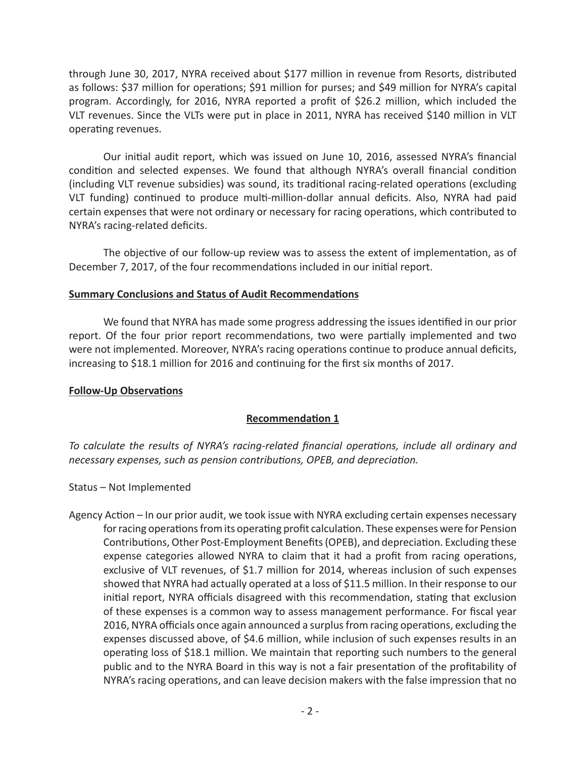through June 30, 2017, NYRA received about \$177 million in revenue from Resorts, distributed as follows: \$37 million for operations; \$91 million for purses; and \$49 million for NYRA's capital program. Accordingly, for 2016, NYRA reported a profit of \$26.2 million, which included the VLT revenues. Since the VLTs were put in place in 2011, NYRA has received \$140 million in VLT operating revenues.

Our initial audit report, which was issued on June 10, 2016, assessed NYRA's financial condition and selected expenses. We found that although NYRA's overall financial condition (including VLT revenue subsidies) was sound, its traditional racing-related operations (excluding VLT funding) continued to produce multi-million-dollar annual deficits. Also, NYRA had paid certain expenses that were not ordinary or necessary for racing operations, which contributed to NYRA's racing-related deficits.

The objective of our follow-up review was to assess the extent of implementation, as of December 7, 2017, of the four recommendations included in our initial report.

## **Summary Conclusions and Status of Audit Recommendations**

We found that NYRA has made some progress addressing the issues identified in our prior report. Of the four prior report recommendations, two were partially implemented and two were not implemented. Moreover, NYRA's racing operations continue to produce annual deficits, increasing to \$18.1 million for 2016 and continuing for the first six months of 2017.

#### **Follow-Up Observations**

# **Recommendation 1**

*To calculate the results of NYRA's racing-related financial operations, include all ordinary and necessary expenses, such as pension contributions, OPEB, and depreciation.*

#### Status – Not Implemented

Agency Action – In our prior audit, we took issue with NYRA excluding certain expenses necessary for racing operations from its operating profit calculation. These expenses were for Pension Contributions, Other Post-Employment Benefits (OPEB), and depreciation. Excluding these expense categories allowed NYRA to claim that it had a profit from racing operations, exclusive of VLT revenues, of \$1.7 million for 2014, whereas inclusion of such expenses showed that NYRA had actually operated at a loss of \$11.5 million. In their response to our initial report, NYRA officials disagreed with this recommendation, stating that exclusion of these expenses is a common way to assess management performance. For fiscal year 2016, NYRA officials once again announced a surplus from racing operations, excluding the expenses discussed above, of \$4.6 million, while inclusion of such expenses results in an operating loss of \$18.1 million. We maintain that reporting such numbers to the general public and to the NYRA Board in this way is not a fair presentation of the profitability of NYRA's racing operations, and can leave decision makers with the false impression that no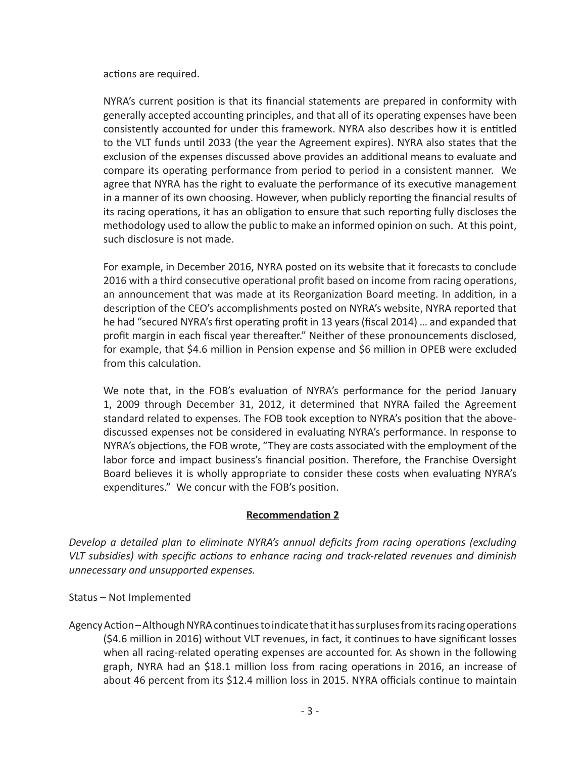actions are required.

NYRA's current position is that its financial statements are prepared in conformity with generally accepted accounting principles, and that all of its operating expenses have been consistently accounted for under this framework. NYRA also describes how it is entitled to the VLT funds until 2033 (the year the Agreement expires). NYRA also states that the exclusion of the expenses discussed above provides an additional means to evaluate and compare its operating performance from period to period in a consistent manner. We agree that NYRA has the right to evaluate the performance of its executive management in a manner of its own choosing. However, when publicly reporting the financial results of its racing operations, it has an obligation to ensure that such reporting fully discloses the methodology used to allow the public to make an informed opinion on such. At this point, such disclosure is not made.

For example, in December 2016, NYRA posted on its website that it forecasts to conclude 2016 with a third consecutive operational profit based on income from racing operations, an announcement that was made at its Reorganization Board meeting. In addition, in a description of the CEO's accomplishments posted on NYRA's website, NYRA reported that he had "secured NYRA's first operating profit in 13 years (fiscal 2014) … and expanded that profit margin in each fiscal year thereafter." Neither of these pronouncements disclosed, for example, that \$4.6 million in Pension expense and \$6 million in OPEB were excluded from this calculation.

We note that, in the FOB's evaluation of NYRA's performance for the period January 1, 2009 through December 31, 2012, it determined that NYRA failed the Agreement standard related to expenses. The FOB took exception to NYRA's position that the abovediscussed expenses not be considered in evaluating NYRA's performance. In response to NYRA's objections, the FOB wrote, "They are costs associated with the employment of the labor force and impact business's financial position. Therefore, the Franchise Oversight Board believes it is wholly appropriate to consider these costs when evaluating NYRA's expenditures." We concur with the FOB's position.

# **Recommendation 2**

*Develop a detailed plan to eliminate NYRA's annual deficits from racing operations (excluding VLT subsidies) with specific actions to enhance racing and track-related revenues and diminish unnecessary and unsupported expenses.* 

Status – Not Implemented

Agency Action – Although NYRA continues to indicate that it has surpluses from its racing operations (\$4.6 million in 2016) without VLT revenues, in fact, it continues to have significant losses when all racing-related operating expenses are accounted for. As shown in the following graph, NYRA had an \$18.1 million loss from racing operations in 2016, an increase of about 46 percent from its \$12.4 million loss in 2015. NYRA officials continue to maintain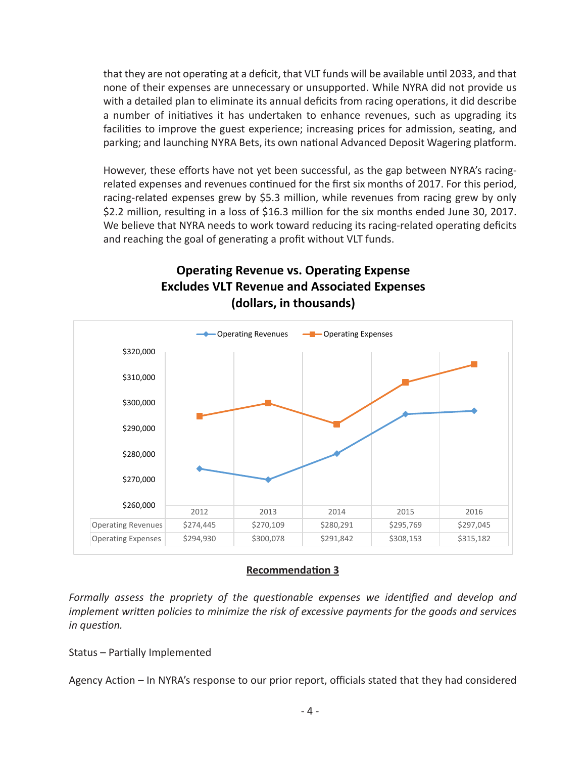that they are not operating at a deficit, that VLT funds will be available until 2033, and that none of their expenses are unnecessary or unsupported. While NYRA did not provide us with a detailed plan to eliminate its annual deficits from racing operations, it did describe a number of initiatives it has undertaken to enhance revenues, such as upgrading its facilities to improve the guest experience; increasing prices for admission, seating, and parking; and launching NYRA Bets, its own national Advanced Deposit Wagering platform.

However, these efforts have not yet been successful, as the gap between NYRA's racingrelated expenses and revenues continued for the first six months of 2017. For this period, racing-related expenses grew by \$5.3 million, while revenues from racing grew by only \$2.2 million, resulting in a loss of \$16.3 million for the six months ended June 30, 2017. We believe that NYRA needs to work toward reducing its racing-related operating deficits and reaching the goal of generating a profit without VLT funds.



# **Operating Revenue vs. Operating Expense Excludes VLT Revenue and Associated Expenses (dollars, in thousands)**

# **Recommendation 3**

*Formally assess the propriety of the questionable expenses we identified and develop and implement written policies to minimize the risk of excessive payments for the goods and services in question.* 

Status – Partially Implemented

Agency Action – In NYRA's response to our prior report, officials stated that they had considered